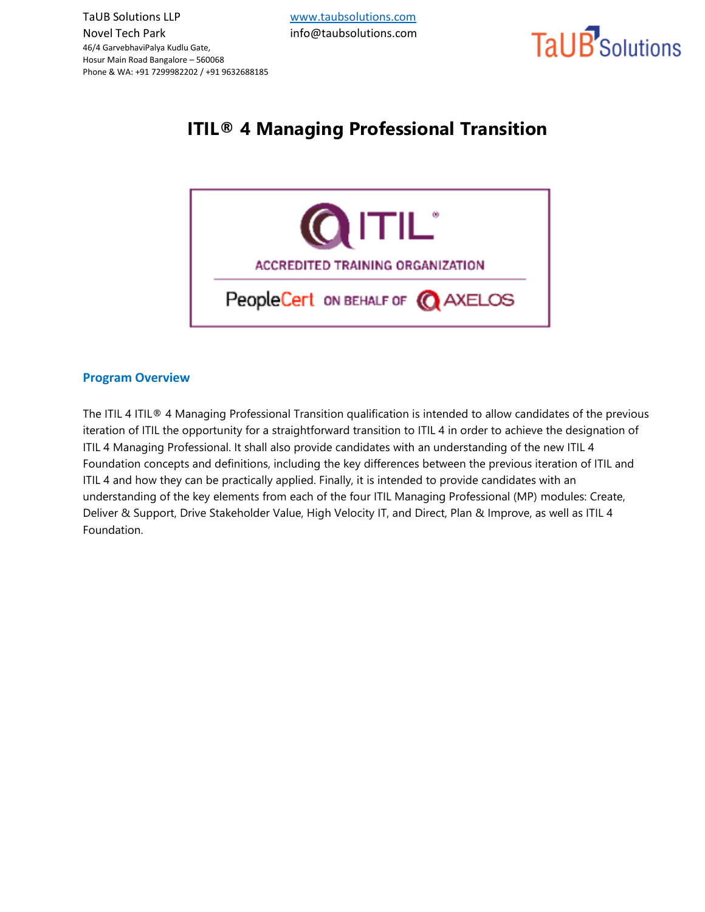

# **ITIL® 4 Managing Professional Transition**



#### **Program Overview**

The ITIL 4 ITIL® 4 Managing Professional Transition qualification is intended to allow candidates of the previous iteration of ITIL the opportunity for a straightforward transition to ITIL 4 in order to achieve the designation of ITIL 4 Managing Professional. It shall also provide candidates with an understanding of the new ITIL 4 Foundation concepts and definitions, including the key differences between the previous iteration of ITIL and ITIL 4 and how they can be practically applied. Finally, it is intended to provide candidates with an understanding of the key elements from each of the four ITIL Managing Professional (MP) modules: Create, Deliver & Support, Drive Stakeholder Value, High Velocity IT, and Direct, Plan & Improve, as well as ITIL 4 Foundation.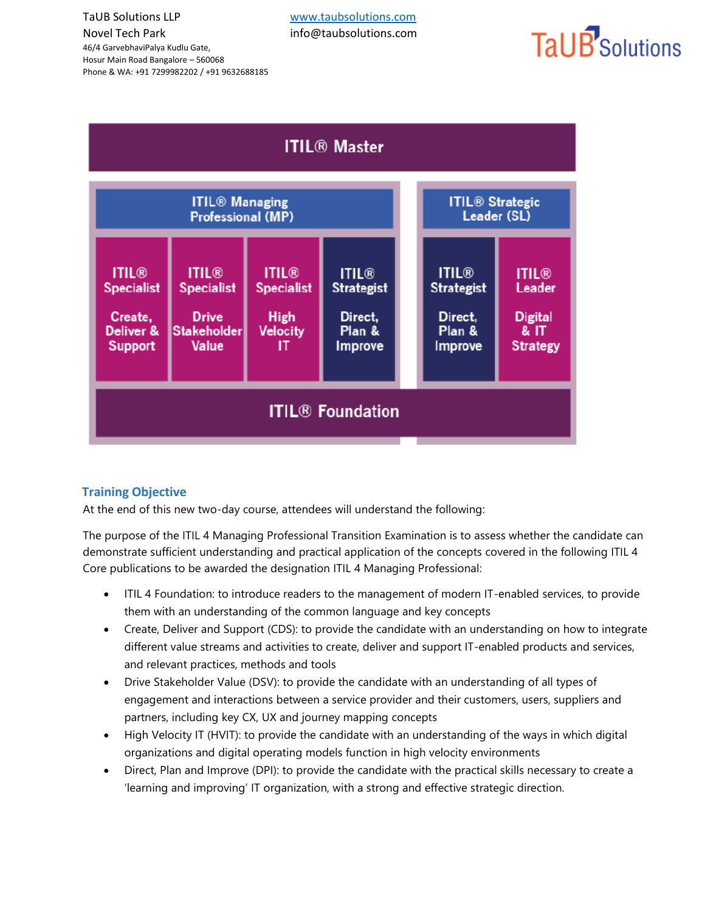46/4 GarvebhaviPalya Kudlu Gate, Hosur Main Road Bangalore – 560068 Phone & WA: +91 7299982202 / +91 9632688185

# TaUB<sup>'</sup>Solutions



## **Training Objective**

At the end of this new two-day course, attendees will understand the following:

The purpose of the ITIL 4 Managing Professional Transition Examination is to assess whether the candidate can demonstrate sufficient understanding and practical application of the concepts covered in the following ITIL 4 Core publications to be awarded the designation ITIL 4 Managing Professional:

- ITIL 4 Foundation: to introduce readers to the management of modern IT-enabled services, to provide them with an understanding of the common language and key concepts
- Create, Deliver and Support (CDS): to provide the candidate with an understanding on how to integrate different value streams and activities to create, deliver and support IT-enabled products and services, and relevant practices, methods and tools
- Drive Stakeholder Value (DSV): to provide the candidate with an understanding of all types of engagement and interactions between a service provider and their customers, users, suppliers and partners, including key CX, UX and journey mapping concepts
- High Velocity IT (HVIT): to provide the candidate with an understanding of the ways in which digital organizations and digital operating models function in high velocity environments
- Direct, Plan and Improve (DPI): to provide the candidate with the practical skills necessary to create a 'learning and improving' IT organization, with a strong and effective strategic direction.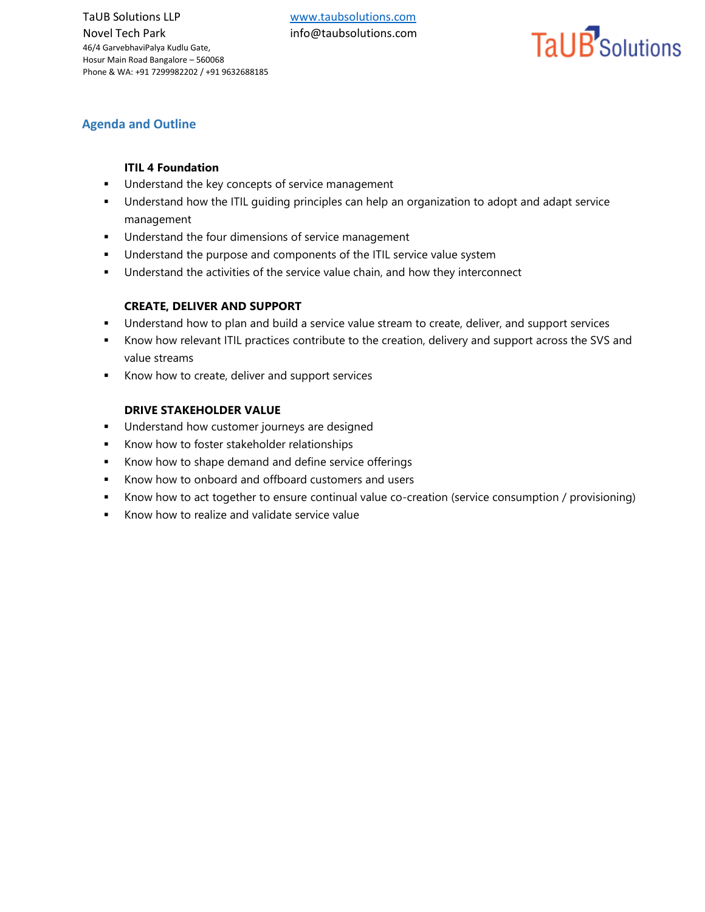# TaUB<sup>'</sup>Solutions

### **Agenda and Outline**

#### **ITIL 4 Foundation**

- **■** Understand the key concepts of service management
- Understand how the ITIL guiding principles can help an organization to adopt and adapt service management
- Understand the four dimensions of service management
- Understand the purpose and components of the ITIL service value system
- **■** Understand the activities of the service value chain, and how they interconnect

#### **CREATE, DELIVER AND SUPPORT**

- Understand how to plan and build a service value stream to create, deliver, and support services
- Know how relevant ITIL practices contribute to the creation, delivery and support across the SVS and value streams
- Know how to create, deliver and support services

#### **DRIVE STAKEHOLDER VALUE**

- **■** Understand how customer journeys are designed
- Know how to foster stakeholder relationships
- Know how to shape demand and define service offerings
- Know how to onboard and offboard customers and users
- **EXECT** Know how to act together to ensure continual value co-creation (service consumption / provisioning)
- Know how to realize and validate service value